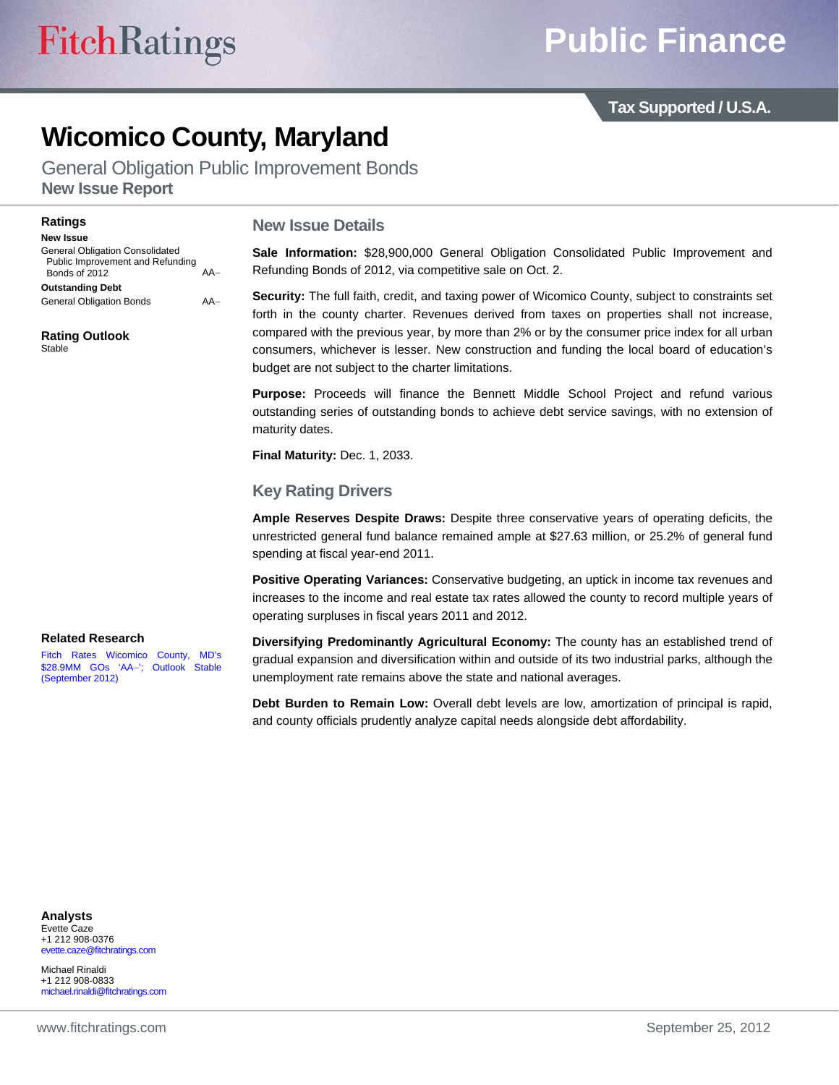**Tax Supported / U.S.A.** 

# **Wicomico County, Maryland**

General Obligation Public Improvement Bonds **New Issue Report** 

#### **Ratings**

**New Issue**  General Obligation Consolidated Public Improvement and Refunding Bonds of 2012 AA **Outstanding Debt** 

General Obligation Bonds AA

**Rating Outlook**  Stable

#### **New Issue Details**

**Sale Information:** \$28,900,000 General Obligation Consolidated Public Improvement and Refunding Bonds of 2012, via competitive sale on Oct. 2.

**Security:** The full faith, credit, and taxing power of Wicomico County, subject to constraints set forth in the county charter. Revenues derived from taxes on properties shall not increase, compared with the previous year, by more than 2% or by the consumer price index for all urban consumers, whichever is lesser. New construction and funding the local board of education's budget are not subject to the charter limitations.

**Purpose:** Proceeds will finance the Bennett Middle School Project and refund various outstanding series of outstanding bonds to achieve debt service savings, with no extension of maturity dates.

**Final Maturity:** Dec. 1, 2033.

#### **Key Rating Drivers**

**Ample Reserves Despite Draws:** Despite three conservative years of operating deficits, the unrestricted general fund balance remained ample at \$27.63 million, or 25.2% of general fund spending at fiscal year-end 2011.

**Positive Operating Variances:** Conservative budgeting, an uptick in income tax revenues and increases to the income and real estate tax rates allowed the county to record multiple years of operating surpluses in fiscal years 2011 and 2012.

#### **Related Research**

[Fitch Rates Wicomico County, MD's](http://www.fitchratings.com/creditdesk/press_releases/detail.cfm?pr_id=761435)  \$28.9MM GOs 'AA'; Outlook Stable (September 2012)

**Diversifying Predominantly Agricultural Economy:** The county has an established trend of gradual expansion and diversification within and outside of its two industrial parks, although the unemployment rate remains above the state and national averages.

**Debt Burden to Remain Low:** Overall debt levels are low, amortization of principal is rapid, and county officials prudently analyze capital needs alongside debt affordability.

#### **Analysts**  Evette Caze

+1 212 908-0376 evette.caze@fitchratings.com

Michael Rinaldi +1 212 908-0833 michael.rinaldi@fitchratings.com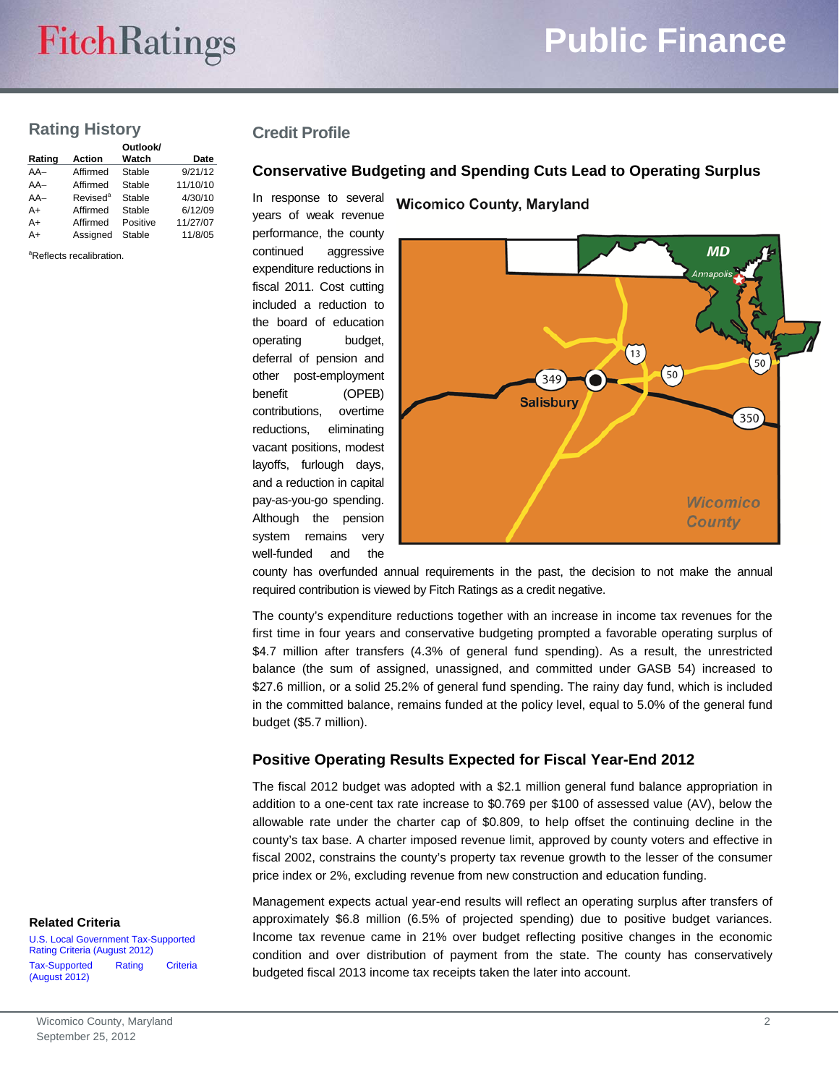# **FitchRatings**

# **Public Finance**

# **Rating History**

|        |                      | Outlook/ |          |
|--------|----------------------|----------|----------|
| Rating | <b>Action</b>        | Watch    | Date     |
| $AA-$  | Affirmed             | Stable   | 9/21/12  |
| $AA-$  | Affirmed             | Stable   | 11/10/10 |
| $AA-$  | Revised <sup>a</sup> | Stable   | 4/30/10  |
| A+     | Affirmed             | Stable   | 6/12/09  |
| A+     | Affirmed             | Positive | 11/27/07 |
| A+     | Assianed             | Stable   | 11/8/05  |

<sup>a</sup>Reflects recalibration.

## **Credit Profile**

#### **Conservative Budgeting and Spending Cuts Lead to Operating Surplus**

**Wicomico County, Maryland** 

In response to several years of weak revenue performance, the county continued aggressive expenditure reductions in fiscal 2011. Cost cutting included a reduction to the board of education operating budget, deferral of pension and other post-employment benefit (OPEB) contributions, overtime reductions, eliminating vacant positions, modest layoffs, furlough days, and a reduction in capital pay-as-you-go spending. Although the pension system remains very well-funded and the



county has overfunded annual requirements in the past, the decision to not make the annual required contribution is viewed by Fitch Ratings as a credit negative.

The county's expenditure reductions together with an increase in income tax revenues for the first time in four years and conservative budgeting prompted a favorable operating surplus of \$4.7 million after transfers (4.3% of general fund spending). As a result, the unrestricted balance (the sum of assigned, unassigned, and committed under GASB 54) increased to \$27.6 million, or a solid 25.2% of general fund spending. The rainy day fund, which is included in the committed balance, remains funded at the policy level, equal to 5.0% of the general fund budget (\$5.7 million).

### **Positive Operating Results Expected for Fiscal Year-End 2012**

The fiscal 2012 budget was adopted with a \$2.1 million general fund balance appropriation in addition to a one-cent tax rate increase to \$0.769 per \$100 of assessed value (AV), below the allowable rate under the charter cap of \$0.809, to help offset the continuing decline in the county's tax base. A charter imposed revenue limit, approved by county voters and effective in fiscal 2002, constrains the county's property tax revenue growth to the lesser of the consumer price index or 2%, excluding revenue from new construction and education funding.

Management expects actual year-end results will reflect an operating surplus after transfers of approximately \$6.8 million (6.5% of projected spending) due to positive budget variances. Income tax revenue came in 21% over budget reflecting positive changes in the economic condition and over distribution of payment from the state. The county has conservatively budgeted fiscal 2013 income tax receipts taken the later into account.

#### **Related Criteria**

[U.S. Local Government Tax-Supported](http://www.fitchratings.com/creditdesk/reports/report_frame.cfm?rpt_id=685314) Rating Criteria (August 2012) [Tax-Supported Rating Criteria](http://www.fitchratings.com/creditdesk/reports/report_frame.cfm?rpt_id=686015)  (August 2012)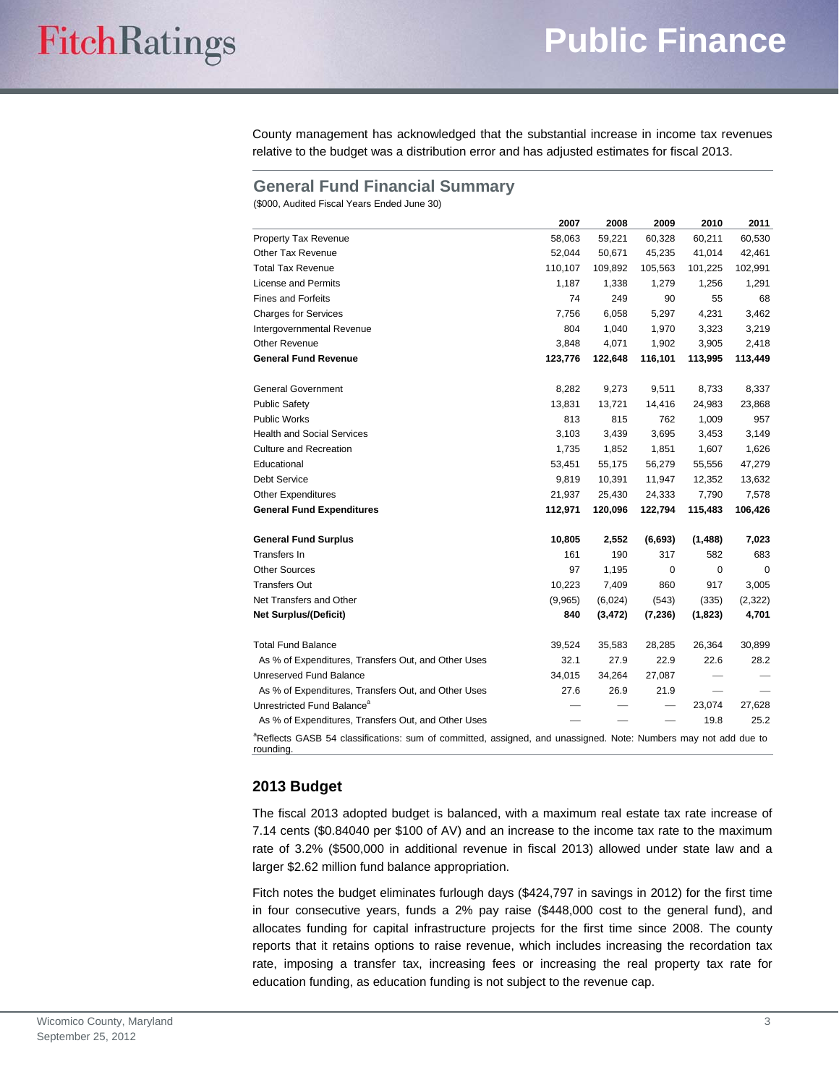County management has acknowledged that the substantial increase in income tax revenues relative to the budget was a distribution error and has adjusted estimates for fiscal 2013.

#### **General Fund Financial Summary**

(\$000, Audited Fiscal Years Ended June 30)

|                                                                                                                                          | 2007    | 2008     | 2009     | 2010    | 2011     |
|------------------------------------------------------------------------------------------------------------------------------------------|---------|----------|----------|---------|----------|
| Property Tax Revenue                                                                                                                     | 58,063  | 59,221   | 60,328   | 60,211  | 60,530   |
| <b>Other Tax Revenue</b>                                                                                                                 | 52,044  | 50,671   | 45,235   | 41,014  | 42,461   |
| <b>Total Tax Revenue</b>                                                                                                                 | 110,107 | 109,892  | 105,563  | 101,225 | 102,991  |
| <b>License and Permits</b>                                                                                                               | 1,187   | 1,338    | 1,279    | 1,256   | 1,291    |
| <b>Fines and Forfeits</b>                                                                                                                | 74      | 249      | 90       | 55      | 68       |
| <b>Charges for Services</b>                                                                                                              | 7,756   | 6,058    | 5,297    | 4,231   | 3,462    |
| Intergovernmental Revenue                                                                                                                | 804     | 1,040    | 1,970    | 3,323   | 3,219    |
| <b>Other Revenue</b>                                                                                                                     | 3,848   | 4,071    | 1,902    | 3,905   | 2,418    |
| <b>General Fund Revenue</b>                                                                                                              | 123,776 | 122,648  | 116,101  | 113,995 | 113,449  |
| <b>General Government</b>                                                                                                                | 8,282   | 9,273    | 9,511    | 8,733   | 8,337    |
| <b>Public Safety</b>                                                                                                                     | 13,831  | 13,721   | 14,416   | 24,983  | 23,868   |
| <b>Public Works</b>                                                                                                                      | 813     | 815      | 762      | 1,009   | 957      |
| <b>Health and Social Services</b>                                                                                                        | 3,103   | 3,439    | 3,695    | 3,453   | 3,149    |
| <b>Culture and Recreation</b>                                                                                                            | 1,735   | 1,852    | 1,851    | 1,607   | 1,626    |
| Educational                                                                                                                              | 53,451  | 55,175   | 56,279   | 55,556  | 47,279   |
| <b>Debt Service</b>                                                                                                                      | 9,819   | 10,391   | 11,947   | 12,352  | 13,632   |
| <b>Other Expenditures</b>                                                                                                                | 21,937  | 25,430   | 24,333   | 7,790   | 7,578    |
| <b>General Fund Expenditures</b>                                                                                                         | 112,971 | 120,096  | 122,794  | 115,483 | 106,426  |
| <b>General Fund Surplus</b>                                                                                                              | 10,805  | 2,552    | (6,693)  | (1,488) | 7,023    |
| Transfers In                                                                                                                             | 161     | 190      | 317      | 582     | 683      |
| <b>Other Sources</b>                                                                                                                     | 97      | 1,195    | 0        | 0       | 0        |
| <b>Transfers Out</b>                                                                                                                     | 10,223  | 7,409    | 860      | 917     | 3,005    |
| Net Transfers and Other                                                                                                                  | (9,965) | (6,024)  | (543)    | (335)   | (2, 322) |
| <b>Net Surplus/(Deficit)</b>                                                                                                             | 840     | (3, 472) | (7, 236) | (1,823) | 4,701    |
| <b>Total Fund Balance</b>                                                                                                                | 39,524  | 35,583   | 28,285   | 26,364  | 30,899   |
| As % of Expenditures, Transfers Out, and Other Uses                                                                                      | 32.1    | 27.9     | 22.9     | 22.6    | 28.2     |
| Unreserved Fund Balance                                                                                                                  | 34,015  | 34,264   | 27,087   |         |          |
| As % of Expenditures, Transfers Out, and Other Uses                                                                                      | 27.6    | 26.9     | 21.9     |         |          |
| Unrestricted Fund Balance <sup>a</sup>                                                                                                   |         |          |          | 23,074  | 27,628   |
| As % of Expenditures, Transfers Out, and Other Uses                                                                                      |         |          |          | 19.8    | 25.2     |
| <sup>a</sup> Reflects GASB 54 classifications: sum of committed, assigned, and unassigned. Note: Numbers may not add due to<br>rounding. |         |          |          |         |          |

#### **2013 Budget**

The fiscal 2013 adopted budget is balanced, with a maximum real estate tax rate increase of 7.14 cents (\$0.84040 per \$100 of AV) and an increase to the income tax rate to the maximum rate of 3.2% (\$500,000 in additional revenue in fiscal 2013) allowed under state law and a larger \$2.62 million fund balance appropriation.

Fitch notes the budget eliminates furlough days (\$424,797 in savings in 2012) for the first time in four consecutive years, funds a 2% pay raise (\$448,000 cost to the general fund), and allocates funding for capital infrastructure projects for the first time since 2008. The county reports that it retains options to raise revenue, which includes increasing the recordation tax rate, imposing a transfer tax, increasing fees or increasing the real property tax rate for education funding, as education funding is not subject to the revenue cap.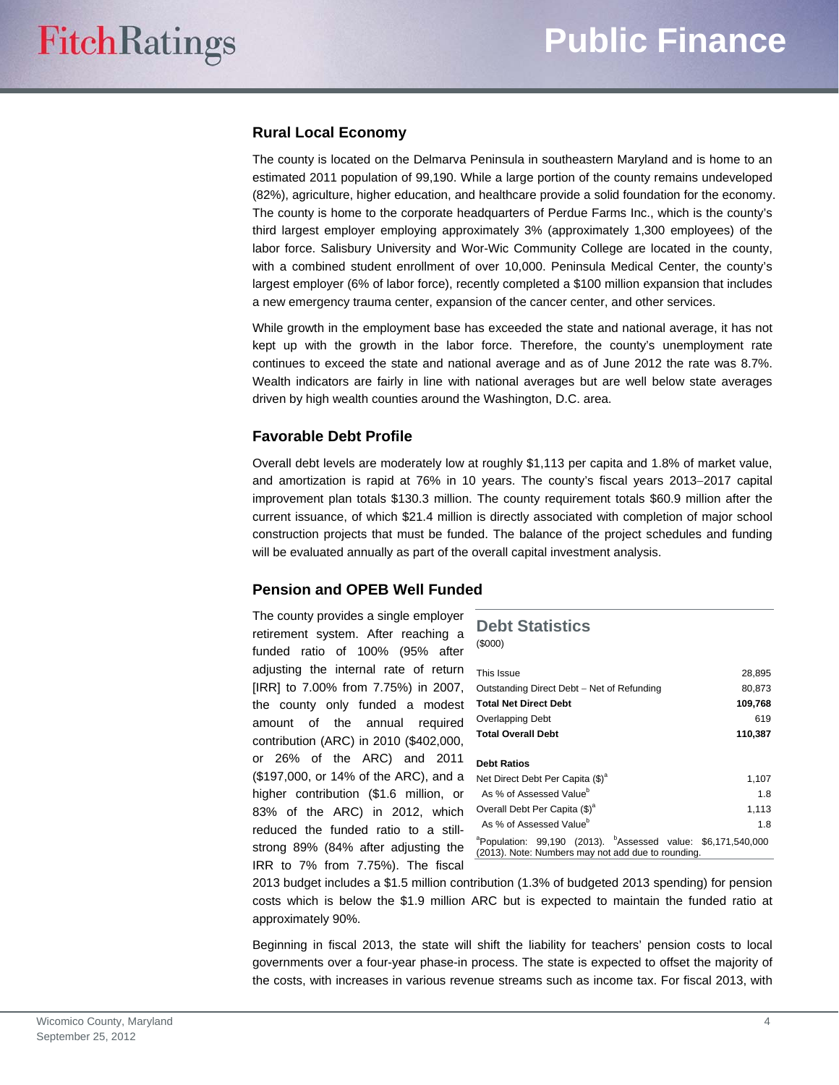## **Rural Local Economy**

The county is located on the Delmarva Peninsula in southeastern Maryland and is home to an estimated 2011 population of 99,190. While a large portion of the county remains undeveloped (82%), agriculture, higher education, and healthcare provide a solid foundation for the economy. The county is home to the corporate headquarters of Perdue Farms Inc., which is the county's third largest employer employing approximately 3% (approximately 1,300 employees) of the labor force. Salisbury University and Wor-Wic Community College are located in the county, with a combined student enrollment of over 10,000. Peninsula Medical Center, the county's largest employer (6% of labor force), recently completed a \$100 million expansion that includes a new emergency trauma center, expansion of the cancer center, and other services.

While growth in the employment base has exceeded the state and national average, it has not kept up with the growth in the labor force. Therefore, the county's unemployment rate continues to exceed the state and national average and as of June 2012 the rate was 8.7%. Wealth indicators are fairly in line with national averages but are well below state averages driven by high wealth counties around the Washington, D.C. area.

#### **Favorable Debt Profile**

Overall debt levels are moderately low at roughly \$1,113 per capita and 1.8% of market value, and amortization is rapid at 76% in 10 years. The county's fiscal years 2013-2017 capital improvement plan totals \$130.3 million. The county requirement totals \$60.9 million after the current issuance, of which \$21.4 million is directly associated with completion of major school construction projects that must be funded. The balance of the project schedules and funding will be evaluated annually as part of the overall capital investment analysis.

### **Pension and OPEB Well Funded**

The county provides a single employer retirement system. After reaching a funded ratio of 100% (95% after adjusting the internal rate of return [IRR] to 7.00% from 7.75%) in 2007, the county only funded a modest amount of the annual required contribution (ARC) in 2010 (\$402,000, or 26% of the ARC) and 2011 (\$197,000, or 14% of the ARC), and a higher contribution (\$1.6 million, or 83% of the ARC) in 2012, which reduced the funded ratio to a stillstrong 89% (84% after adjusting the IRR to 7% from 7.75%). The fiscal

### **Debt Statistics**

(\$000)

| This Issue                                                                                                                                 | 28,895  |
|--------------------------------------------------------------------------------------------------------------------------------------------|---------|
| Outstanding Direct Debt - Net of Refunding                                                                                                 | 80.873  |
| <b>Total Net Direct Debt</b>                                                                                                               | 109,768 |
| Overlapping Debt                                                                                                                           | 619     |
| <b>Total Overall Debt</b>                                                                                                                  | 110,387 |
|                                                                                                                                            |         |
| <b>Debt Ratios</b>                                                                                                                         |         |
| Net Direct Debt Per Capita (\$) <sup>a</sup>                                                                                               | 1,107   |
| As % of Assessed Value <sup>b</sup>                                                                                                        | 1.8     |
| Overall Debt Per Capita (\$) <sup>a</sup>                                                                                                  | 1,113   |
| As % of Assessed Value <sup>b</sup>                                                                                                        | 1.8     |
| <sup>a</sup> Population: 99,190 (2013). <sup>b</sup> Assessed value: \$6,171,540,000<br>(2013). Note: Numbers may not add due to rounding. |         |

2013 budget includes a \$1.5 million contribution (1.3% of budgeted 2013 spending) for pension costs which is below the \$1.9 million ARC but is expected to maintain the funded ratio at approximately 90%.

Beginning in fiscal 2013, the state will shift the liability for teachers' pension costs to local governments over a four-year phase-in process. The state is expected to offset the majority of the costs, with increases in various revenue streams such as income tax. For fiscal 2013, with